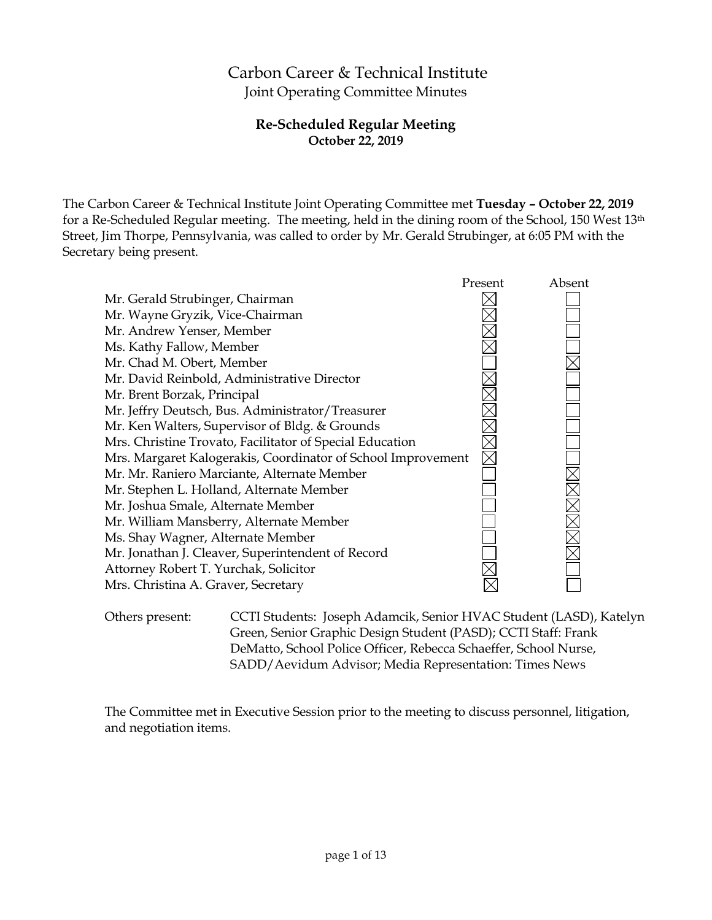# Carbon Career & Technical Institute Joint Operating Committee Minutes

# **Re-Scheduled Regular Meeting October 22, 2019**

The Carbon Career & Technical Institute Joint Operating Committee met **Tuesday – October 22, 2019** for a Re-Scheduled Regular meeting. The meeting, held in the dining room of the School, 150 West 13th Street, Jim Thorpe, Pennsylvania, was called to order by Mr. Gerald Strubinger, at 6:05 PM with the Secretary being present.



Others present: CCTI Students: Joseph Adamcik, Senior HVAC Student (LASD), Katelyn Green, Senior Graphic Design Student (PASD); CCTI Staff: Frank DeMatto, School Police Officer, Rebecca Schaeffer, School Nurse, SADD/Aevidum Advisor; Media Representation: Times News

The Committee met in Executive Session prior to the meeting to discuss personnel, litigation, and negotiation items.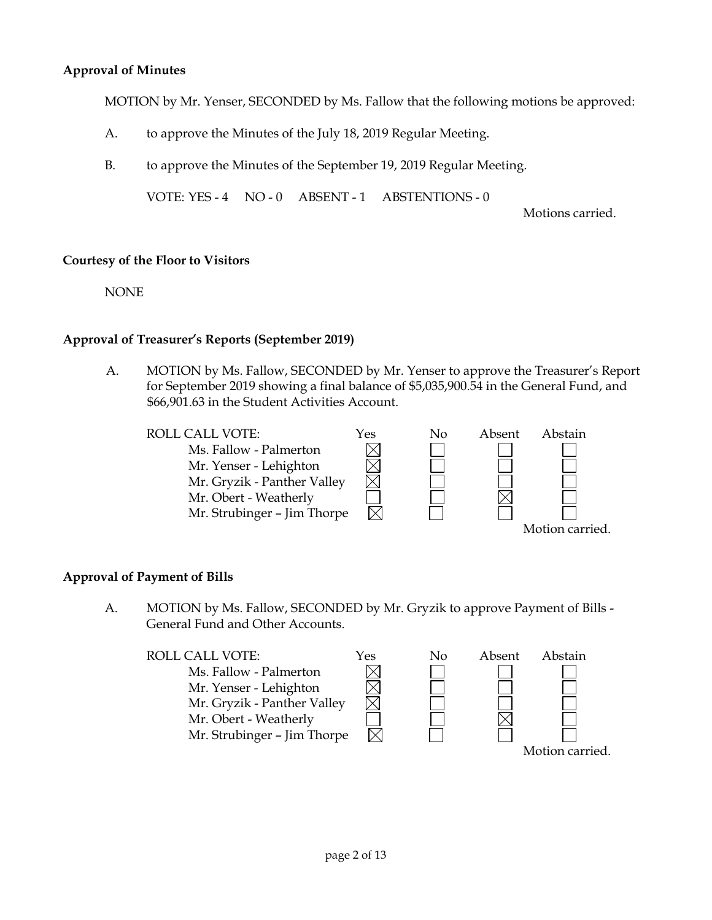# **Approval of Minutes**

MOTION by Mr. Yenser, SECONDED by Ms. Fallow that the following motions be approved:

- A. to approve the Minutes of the July 18, 2019 Regular Meeting.
- B. to approve the Minutes of the September 19, 2019 Regular Meeting.

VOTE: YES - 4 NO - 0 ABSENT - 1 ABSTENTIONS - 0

Motions carried.

### **Courtesy of the Floor to Visitors**

NONE

### **Approval of Treasurer's Reports (September 2019)**

A. MOTION by Ms. Fallow, SECONDED by Mr. Yenser to approve the Treasurer's Report for September 2019 showing a final balance of \$5,035,900.54 in the General Fund, and \$66,901.63 in the Student Activities Account.

| <b>ROLL CALL VOTE:</b>      | Yes | Nο | Absent | Abstain         |
|-----------------------------|-----|----|--------|-----------------|
| Ms. Fallow - Palmerton      |     |    |        |                 |
| Mr. Yenser - Lehighton      |     |    |        |                 |
| Mr. Gryzik - Panther Valley |     |    |        |                 |
| Mr. Obert - Weatherly       |     |    |        |                 |
| Mr. Strubinger - Jim Thorpe |     |    |        |                 |
|                             |     |    |        | Motion carried. |

#### **Approval of Payment of Bills**

A. MOTION by Ms. Fallow, SECONDED by Mr. Gryzik to approve Payment of Bills - General Fund and Other Accounts.

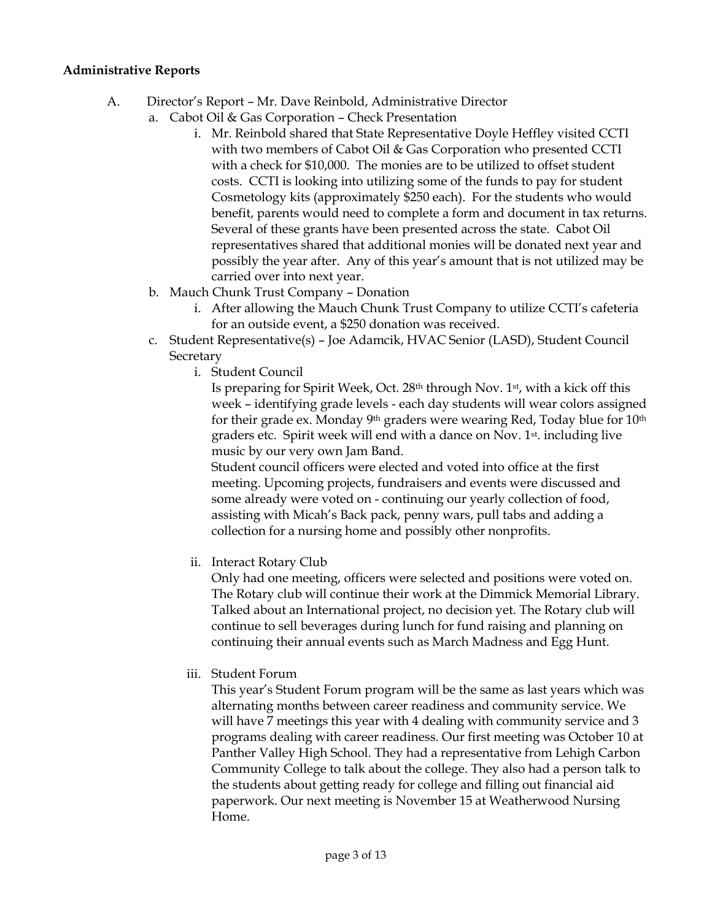# **Administrative Reports**

- A. Director's Report Mr. Dave Reinbold, Administrative Director
	- a. Cabot Oil & Gas Corporation Check Presentation
		- i. Mr. Reinbold shared that State Representative Doyle Heffley visited CCTI with two members of Cabot Oil & Gas Corporation who presented CCTI with a check for \$10,000. The monies are to be utilized to offset student costs. CCTI is looking into utilizing some of the funds to pay for student Cosmetology kits (approximately \$250 each). For the students who would benefit, parents would need to complete a form and document in tax returns. Several of these grants have been presented across the state. Cabot Oil representatives shared that additional monies will be donated next year and possibly the year after. Any of this year's amount that is not utilized may be carried over into next year.
	- b. Mauch Chunk Trust Company Donation
		- i. After allowing the Mauch Chunk Trust Company to utilize CCTI's cafeteria for an outside event, a \$250 donation was received.
	- c. Student Representative(s) Joe Adamcik, HVAC Senior (LASD), Student Council **Secretary** 
		- i. Student Council

Is preparing for Spirit Week, Oct.  $28<sup>th</sup>$  through Nov.  $1<sup>st</sup>$ , with a kick off this week – identifying grade levels - each day students will wear colors assigned for their grade ex. Monday 9<sup>th</sup> graders were wearing Red, Today blue for  $10<sup>th</sup>$ graders etc. Spirit week will end with a dance on Nov. 1st. including live music by our very own Jam Band.

Student council officers were elected and voted into office at the first meeting. Upcoming projects, fundraisers and events were discussed and some already were voted on - continuing our yearly collection of food, assisting with Micah's Back pack, penny wars, pull tabs and adding a collection for a nursing home and possibly other nonprofits.

ii. Interact Rotary Club

Only had one meeting, officers were selected and positions were voted on. The Rotary club will continue their work at the Dimmick Memorial Library. Talked about an International project, no decision yet. The Rotary club will continue to sell beverages during lunch for fund raising and planning on continuing their annual events such as March Madness and Egg Hunt.

iii. Student Forum

This year's Student Forum program will be the same as last years which was alternating months between career readiness and community service. We will have 7 meetings this year with 4 dealing with community service and 3 programs dealing with career readiness. Our first meeting was October 10 at Panther Valley High School. They had a representative from Lehigh Carbon Community College to talk about the college. They also had a person talk to the students about getting ready for college and filling out financial aid paperwork. Our next meeting is November 15 at Weatherwood Nursing Home.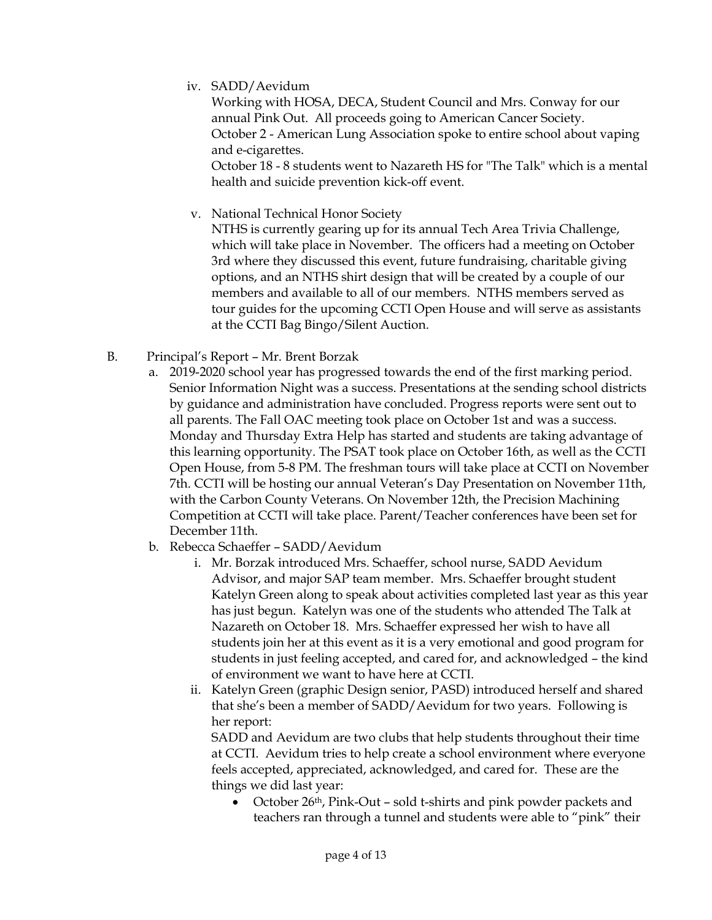iv. SADD/Aevidum

Working with HOSA, DECA, Student Council and Mrs. Conway for our annual Pink Out. All proceeds going to American Cancer Society. October 2 - American Lung Association spoke to entire school about vaping and e-cigarettes. October 18 - 8 students went to Nazareth HS for "The Talk" which is a mental

v. National Technical Honor Society

health and suicide prevention kick-off event.

NTHS is currently gearing up for its annual Tech Area Trivia Challenge, which will take place in November. The officers had a meeting on October 3rd where they discussed this event, future fundraising, charitable giving options, and an NTHS shirt design that will be created by a couple of our members and available to all of our members. NTHS members served as tour guides for the upcoming CCTI Open House and will serve as assistants at the CCTI Bag Bingo/Silent Auction.

- B. Principal's Report Mr. Brent Borzak
	- a. 2019-2020 school year has progressed towards the end of the first marking period. Senior Information Night was a success. Presentations at the sending school districts by guidance and administration have concluded. Progress reports were sent out to all parents. The Fall OAC meeting took place on October 1st and was a success. Monday and Thursday Extra Help has started and students are taking advantage of this learning opportunity. The PSAT took place on October 16th, as well as the CCTI Open House, from 5-8 PM. The freshman tours will take place at CCTI on November 7th. CCTI will be hosting our annual Veteran's Day Presentation on November 11th, with the Carbon County Veterans. On November 12th, the Precision Machining Competition at CCTI will take place. Parent/Teacher conferences have been set for December 11th.
	- b. Rebecca Schaeffer SADD/Aevidum
		- i. Mr. Borzak introduced Mrs. Schaeffer, school nurse, SADD Aevidum Advisor, and major SAP team member. Mrs. Schaeffer brought student Katelyn Green along to speak about activities completed last year as this year has just begun. Katelyn was one of the students who attended The Talk at Nazareth on October 18. Mrs. Schaeffer expressed her wish to have all students join her at this event as it is a very emotional and good program for students in just feeling accepted, and cared for, and acknowledged – the kind of environment we want to have here at CCTI.
		- ii. Katelyn Green (graphic Design senior, PASD) introduced herself and shared that she's been a member of SADD/Aevidum for two years. Following is her report:

SADD and Aevidum are two clubs that help students throughout their time at CCTI. Aevidum tries to help create a school environment where everyone feels accepted, appreciated, acknowledged, and cared for. These are the things we did last year:

• October 26<sup>th</sup>, Pink-Out – sold t-shirts and pink powder packets and teachers ran through a tunnel and students were able to "pink" their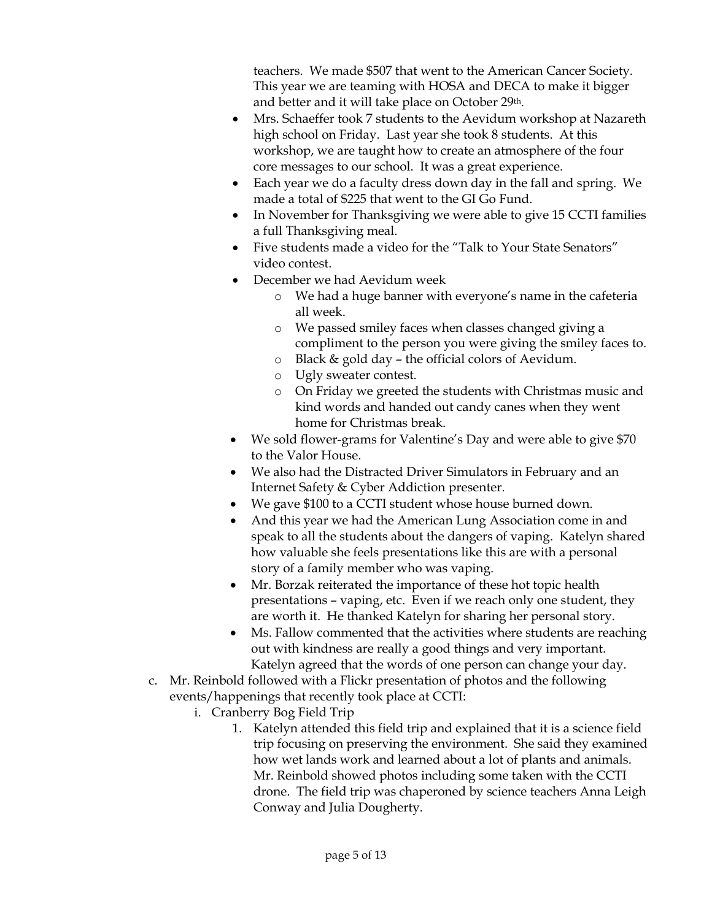teachers. We made \$507 that went to the American Cancer Society. This year we are teaming with HOSA and DECA to make it bigger and better and it will take place on October 29<sup>th</sup>.

- Mrs. Schaeffer took 7 students to the Aevidum workshop at Nazareth high school on Friday. Last year she took 8 students. At this workshop, we are taught how to create an atmosphere of the four core messages to our school. It was a great experience.
- Each year we do a faculty dress down day in the fall and spring. We made a total of \$225 that went to the GI Go Fund.
- In November for Thanksgiving we were able to give 15 CCTI families a full Thanksgiving meal.
- Five students made a video for the "Talk to Your State Senators" video contest.
- December we had Aevidum week
	- o We had a huge banner with everyone's name in the cafeteria all week.
	- o We passed smiley faces when classes changed giving a compliment to the person you were giving the smiley faces to.
	- o Black & gold day the official colors of Aevidum.
	- o Ugly sweater contest.
	- o On Friday we greeted the students with Christmas music and kind words and handed out candy canes when they went home for Christmas break.
- We sold flower-grams for Valentine's Day and were able to give \$70 to the Valor House.
- We also had the Distracted Driver Simulators in February and an Internet Safety & Cyber Addiction presenter.
- We gave \$100 to a CCTI student whose house burned down.
- And this year we had the American Lung Association come in and speak to all the students about the dangers of vaping. Katelyn shared how valuable she feels presentations like this are with a personal story of a family member who was vaping.
- Mr. Borzak reiterated the importance of these hot topic health presentations – vaping, etc. Even if we reach only one student, they are worth it. He thanked Katelyn for sharing her personal story.
- Ms. Fallow commented that the activities where students are reaching out with kindness are really a good things and very important. Katelyn agreed that the words of one person can change your day.
- c. Mr. Reinbold followed with a Flickr presentation of photos and the following events/happenings that recently took place at CCTI:
	- i. Cranberry Bog Field Trip
		- 1. Katelyn attended this field trip and explained that it is a science field trip focusing on preserving the environment. She said they examined how wet lands work and learned about a lot of plants and animals. Mr. Reinbold showed photos including some taken with the CCTI drone. The field trip was chaperoned by science teachers Anna Leigh Conway and Julia Dougherty.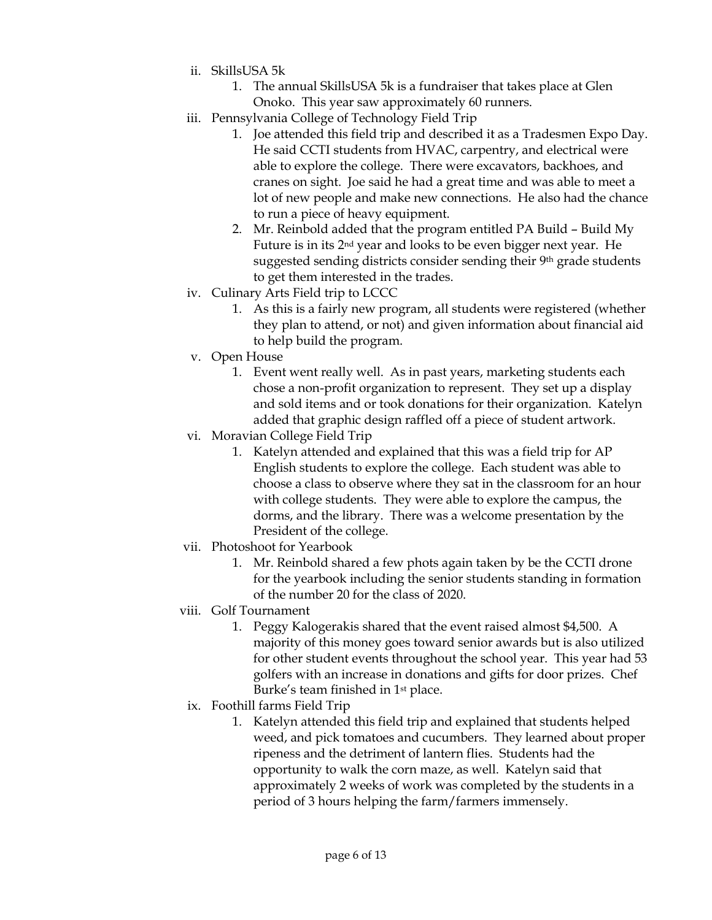- ii. SkillsUSA 5k
	- 1. The annual SkillsUSA 5k is a fundraiser that takes place at Glen Onoko. This year saw approximately 60 runners.
- iii. Pennsylvania College of Technology Field Trip
	- 1. Joe attended this field trip and described it as a Tradesmen Expo Day. He said CCTI students from HVAC, carpentry, and electrical were able to explore the college. There were excavators, backhoes, and cranes on sight. Joe said he had a great time and was able to meet a lot of new people and make new connections. He also had the chance to run a piece of heavy equipment.
	- 2. Mr. Reinbold added that the program entitled PA Build Build My Future is in its 2nd year and looks to be even bigger next year. He suggested sending districts consider sending their 9th grade students to get them interested in the trades.
- iv. Culinary Arts Field trip to LCCC
	- 1. As this is a fairly new program, all students were registered (whether they plan to attend, or not) and given information about financial aid to help build the program.
- v. Open House
	- 1. Event went really well. As in past years, marketing students each chose a non-profit organization to represent. They set up a display and sold items and or took donations for their organization. Katelyn added that graphic design raffled off a piece of student artwork.
- vi. Moravian College Field Trip
	- 1. Katelyn attended and explained that this was a field trip for AP English students to explore the college. Each student was able to choose a class to observe where they sat in the classroom for an hour with college students. They were able to explore the campus, the dorms, and the library. There was a welcome presentation by the President of the college.
- vii. Photoshoot for Yearbook
	- 1. Mr. Reinbold shared a few phots again taken by be the CCTI drone for the yearbook including the senior students standing in formation of the number 20 for the class of 2020.
- viii. Golf Tournament
	- 1. Peggy Kalogerakis shared that the event raised almost \$4,500. A majority of this money goes toward senior awards but is also utilized for other student events throughout the school year. This year had 53 golfers with an increase in donations and gifts for door prizes. Chef Burke's team finished in 1<sup>st</sup> place.
	- ix. Foothill farms Field Trip
		- 1. Katelyn attended this field trip and explained that students helped weed, and pick tomatoes and cucumbers. They learned about proper ripeness and the detriment of lantern flies. Students had the opportunity to walk the corn maze, as well. Katelyn said that approximately 2 weeks of work was completed by the students in a period of 3 hours helping the farm/farmers immensely.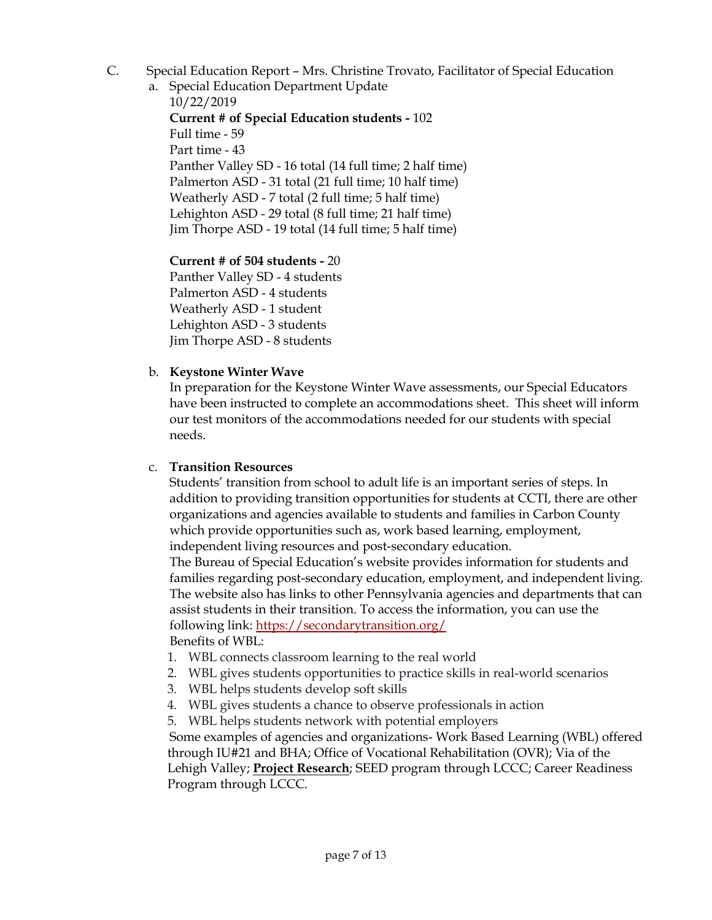- C. Special Education Report Mrs. Christine Trovato, Facilitator of Special Education
	- a. Special Education Department Update

10/22/2019

**Current # of Special Education students -** 102 Full time - 59 Part time - 43 Panther Valley SD - 16 total (14 full time; 2 half time) Palmerton ASD - 31 total (21 full time; 10 half time) Weatherly ASD - 7 total (2 full time; 5 half time) Lehighton ASD - 29 total (8 full time; 21 half time) Jim Thorpe ASD - 19 total (14 full time; 5 half time)

**Current # of 504 students -** 20 Panther Valley SD - 4 students Palmerton ASD - 4 students Weatherly ASD - 1 student Lehighton ASD - 3 students Jim Thorpe ASD - 8 students

# b. **Keystone Winter Wave**

In preparation for the Keystone Winter Wave assessments, our Special Educators have been instructed to complete an accommodations sheet. This sheet will inform our test monitors of the accommodations needed for our students with special needs.

## c. **Transition Resources**

Students' transition from school to adult life is an important series of steps. In addition to providing transition opportunities for students at CCTI, there are other organizations and agencies available to students and families in Carbon County which provide opportunities such as, work based learning, employment, independent living resources and post-secondary education.

The Bureau of Special Education's website provides information for students and families regarding post-secondary education, employment, and independent living. The website also has links to other Pennsylvania agencies and departments that can assist students in their transition. To access the information, you can use the following link:<https://secondarytransition.org/>

Benefits of WBL:

- 1. WBL connects classroom learning to the real world
- 2. WBL gives students opportunities to practice skills in real-world scenarios
- 3. WBL helps students develop soft skills
- 4. WBL gives students a chance to observe professionals in action
- 5. WBL helps students network with potential employers

Some examples of agencies and organizations- Work Based Learning (WBL) offered through IU#21 and BHA; Office of Vocational Rehabilitation (OVR); Via of the Lehigh Valley; **Project Research**; SEED program through LCCC; Career Readiness Program through LCCC.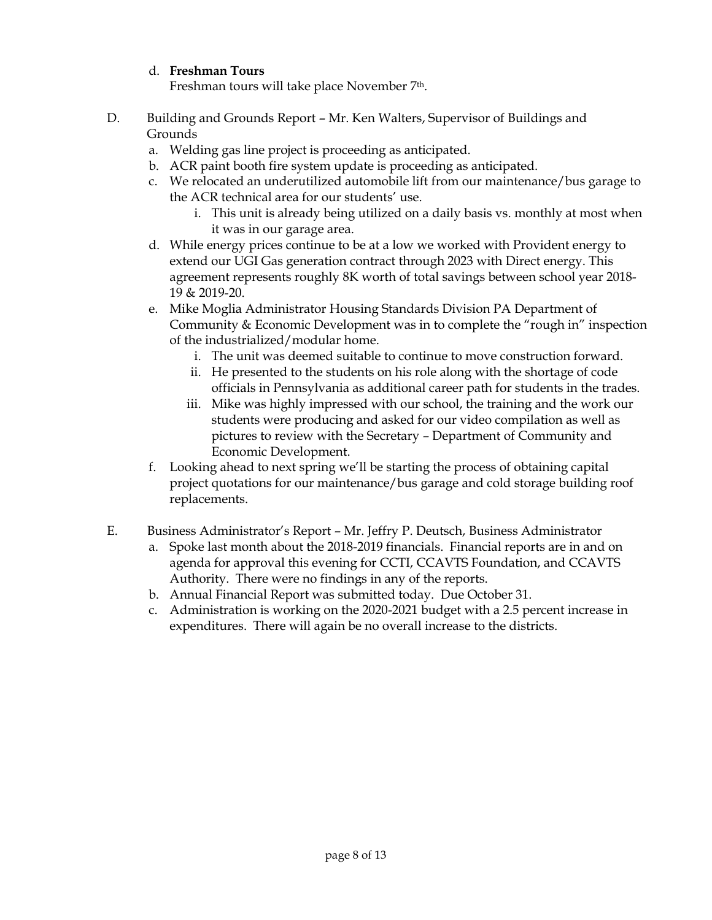# d. **Freshman Tours**

Freshman tours will take place November 7<sup>th</sup>.

- D. Building and Grounds Report Mr. Ken Walters, Supervisor of Buildings and Grounds
	- a. Welding gas line project is proceeding as anticipated.
	- b. ACR paint booth fire system update is proceeding as anticipated.
	- c. We relocated an underutilized automobile lift from our maintenance/bus garage to the ACR technical area for our students' use.
		- i. This unit is already being utilized on a daily basis vs. monthly at most when it was in our garage area.
	- d. While energy prices continue to be at a low we worked with Provident energy to extend our UGI Gas generation contract through 2023 with Direct energy. This agreement represents roughly 8K worth of total savings between school year 2018- 19 & 2019-20.
	- e. Mike Moglia Administrator Housing Standards Division PA Department of Community & Economic Development was in to complete the "rough in" inspection of the industrialized/modular home.
		- i. The unit was deemed suitable to continue to move construction forward.
		- ii. He presented to the students on his role along with the shortage of code officials in Pennsylvania as additional career path for students in the trades.
		- iii. Mike was highly impressed with our school, the training and the work our students were producing and asked for our video compilation as well as pictures to review with the Secretary – Department of Community and Economic Development.
	- f. Looking ahead to next spring we'll be starting the process of obtaining capital project quotations for our maintenance/bus garage and cold storage building roof replacements.
- E. Business Administrator's Report Mr. Jeffry P. Deutsch, Business Administrator
	- a. Spoke last month about the 2018-2019 financials. Financial reports are in and on agenda for approval this evening for CCTI, CCAVTS Foundation, and CCAVTS Authority. There were no findings in any of the reports.
	- b. Annual Financial Report was submitted today. Due October 31.
	- c. Administration is working on the 2020-2021 budget with a 2.5 percent increase in expenditures. There will again be no overall increase to the districts.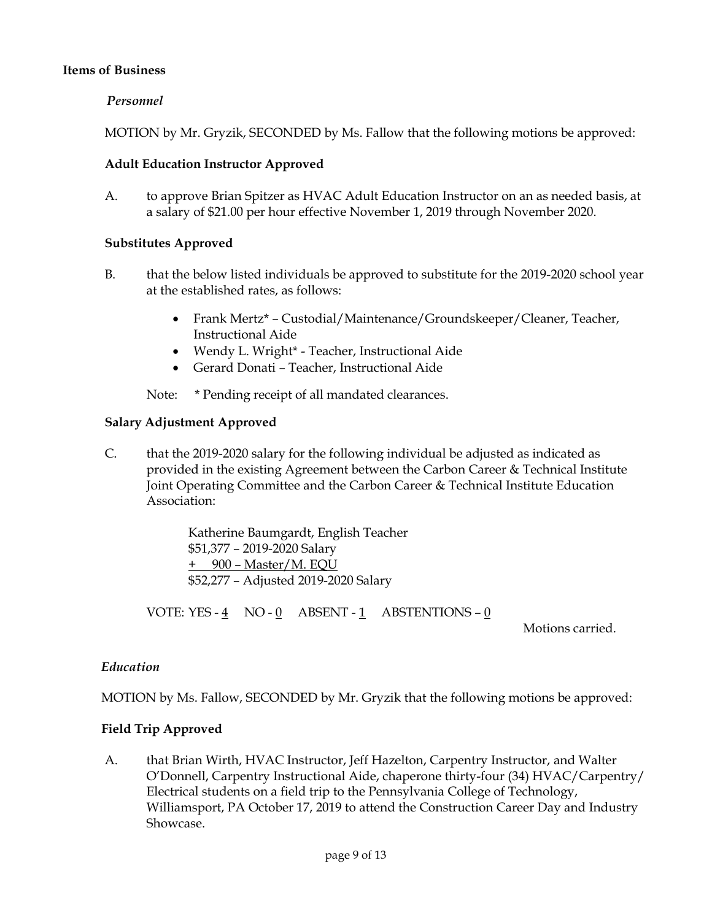### **Items of Business**

### *Personnel*

MOTION by Mr. Gryzik, SECONDED by Ms. Fallow that the following motions be approved:

#### **Adult Education Instructor Approved**

A. to approve Brian Spitzer as HVAC Adult Education Instructor on an as needed basis, at a salary of \$21.00 per hour effective November 1, 2019 through November 2020.

### **Substitutes Approved**

- B. that the below listed individuals be approved to substitute for the 2019-2020 school year at the established rates, as follows:
	- Frank Mertz\* Custodial/Maintenance/Groundskeeper/Cleaner, Teacher, Instructional Aide
	- Wendy L. Wright\* Teacher, Instructional Aide
	- Gerard Donati Teacher, Instructional Aide

Note: \* Pending receipt of all mandated clearances.

#### **Salary Adjustment Approved**

C. that the 2019-2020 salary for the following individual be adjusted as indicated as provided in the existing Agreement between the Carbon Career & Technical Institute Joint Operating Committee and the Carbon Career & Technical Institute Education Association:

> Katherine Baumgardt, English Teacher \$51,377 – 2019-2020 Salary + 900 – Master/M. EQU \$52,277 – Adjusted 2019-2020 Salary

VOTE: YES -  $\underline{4}$  NO -  $\underline{0}$  ABSENT - 1 ABSTENTIONS -  $\underline{0}$ 

Motions carried.

#### *Education*

MOTION by Ms. Fallow, SECONDED by Mr. Gryzik that the following motions be approved:

#### **Field Trip Approved**

A. that Brian Wirth, HVAC Instructor, Jeff Hazelton, Carpentry Instructor, and Walter O'Donnell, Carpentry Instructional Aide, chaperone thirty-four (34) HVAC/Carpentry/ Electrical students on a field trip to the Pennsylvania College of Technology, Williamsport, PA October 17, 2019 to attend the Construction Career Day and Industry Showcase.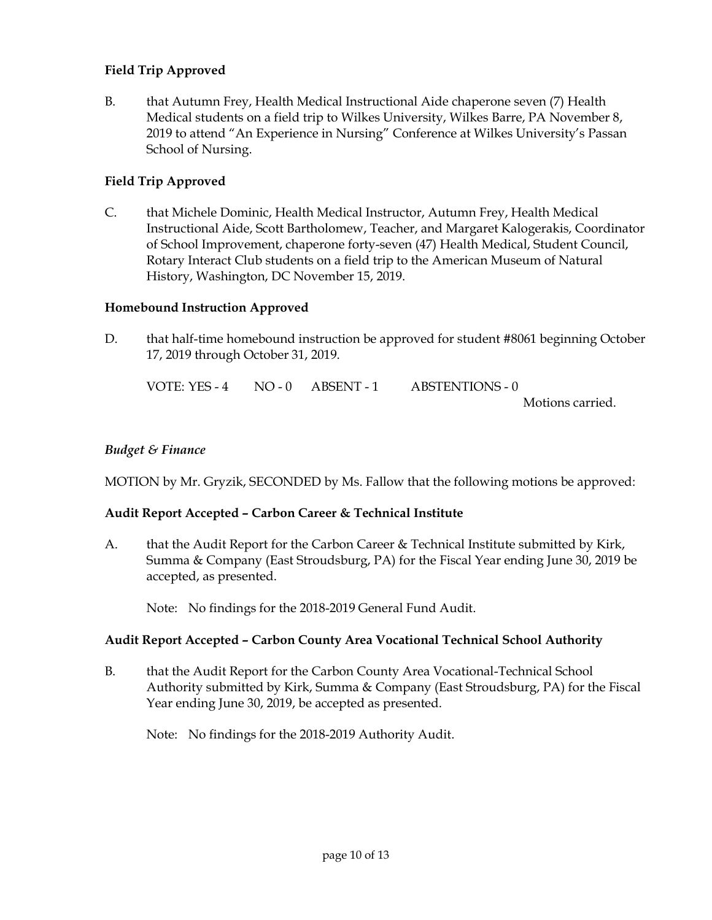# **Field Trip Approved**

B. that Autumn Frey, Health Medical Instructional Aide chaperone seven (7) Health Medical students on a field trip to Wilkes University, Wilkes Barre, PA November 8, 2019 to attend "An Experience in Nursing" Conference at Wilkes University's Passan School of Nursing.

# **Field Trip Approved**

C. that Michele Dominic, Health Medical Instructor, Autumn Frey, Health Medical Instructional Aide, Scott Bartholomew, Teacher, and Margaret Kalogerakis, Coordinator of School Improvement, chaperone forty-seven (47) Health Medical, Student Council, Rotary Interact Club students on a field trip to the American Museum of Natural History, Washington, DC November 15, 2019.

## **Homebound Instruction Approved**

D. that half-time homebound instruction be approved for student #8061 beginning October 17, 2019 through October 31, 2019.

| VOTE: YES - $4$ NO - $0$ ABSENT - 1 |  | <b>ABSTENTIONS - 0</b> |
|-------------------------------------|--|------------------------|
|                                     |  | Motions carried.       |

### *Budget & Finance*

MOTION by Mr. Gryzik, SECONDED by Ms. Fallow that the following motions be approved:

## **Audit Report Accepted – Carbon Career & Technical Institute**

A. that the Audit Report for the Carbon Career & Technical Institute submitted by Kirk, Summa & Company (East Stroudsburg, PA) for the Fiscal Year ending June 30, 2019 be accepted, as presented.

Note: No findings for the 2018-2019 General Fund Audit.

#### **Audit Report Accepted – Carbon County Area Vocational Technical School Authority**

B. that the Audit Report for the Carbon County Area Vocational-Technical School Authority submitted by Kirk, Summa & Company (East Stroudsburg, PA) for the Fiscal Year ending June 30, 2019, be accepted as presented.

Note: No findings for the 2018-2019 Authority Audit.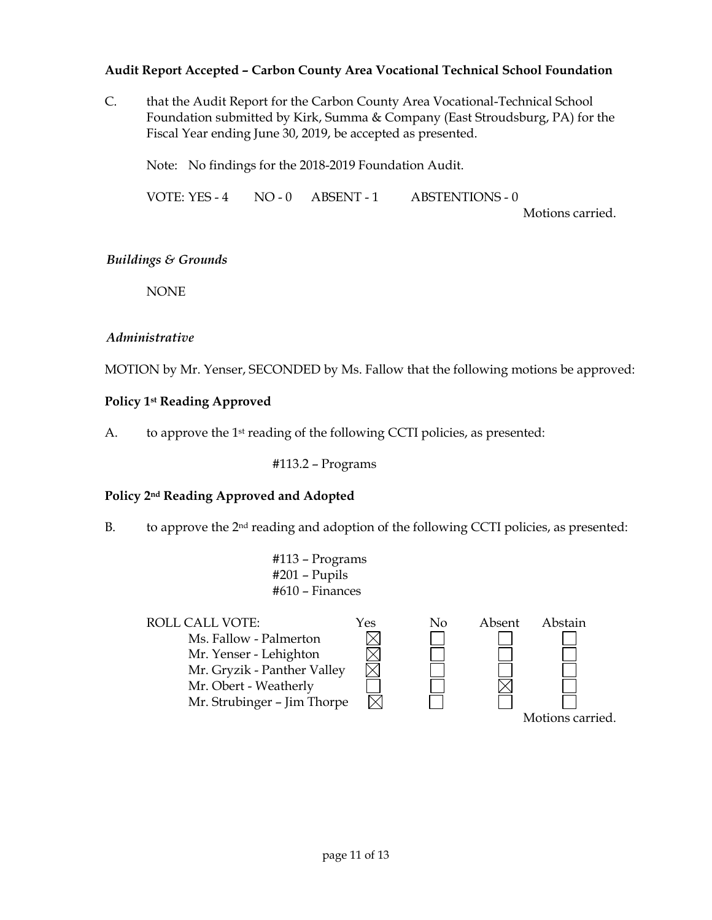# **Audit Report Accepted – Carbon County Area Vocational Technical School Foundation**

C. that the Audit Report for the Carbon County Area Vocational-Technical School Foundation submitted by Kirk, Summa & Company (East Stroudsburg, PA) for the Fiscal Year ending June 30, 2019, be accepted as presented.

Note: No findings for the 2018-2019 Foundation Audit.

VOTE: YES - 4 NO - 0 ABSENT - 1 ABSTENTIONS - 0 Motions carried.

# *Buildings & Grounds*

NONE

# *Administrative*

MOTION by Mr. Yenser, SECONDED by Ms. Fallow that the following motions be approved:

# **Policy 1st Reading Approved**

A. to approve the  $1<sup>st</sup>$  reading of the following CCTI policies, as presented:

#113.2 – Programs

## **Policy 2nd Reading Approved and Adopted**

B. to approve the 2<sup>nd</sup> reading and adoption of the following CCTI policies, as presented:

#113 – Programs #201 – Pupils #610 – Finances

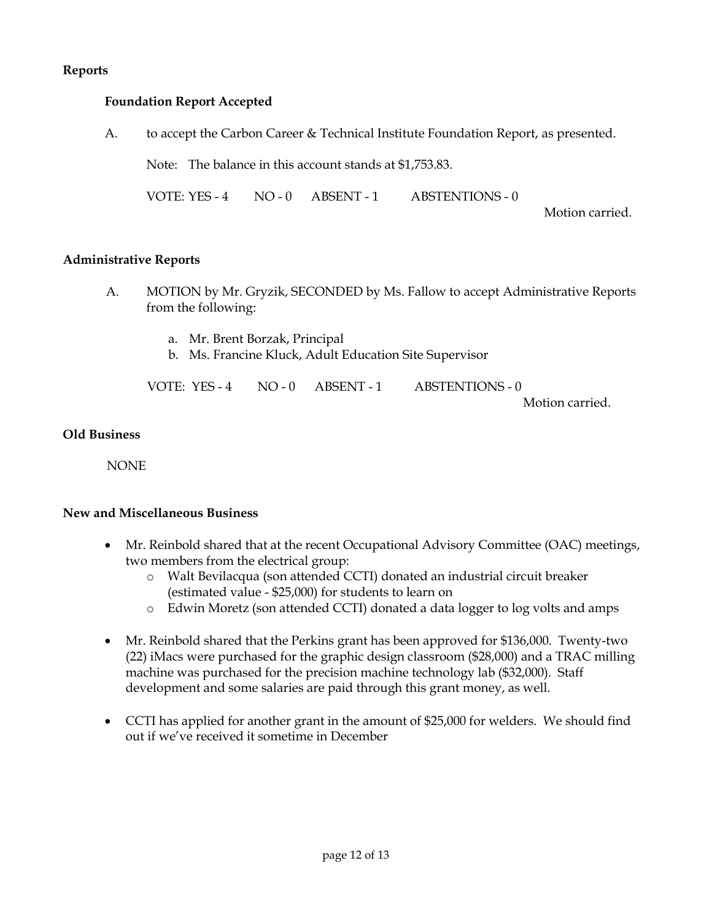# **Reports**

# **Foundation Report Accepted**

A. to accept the Carbon Career & Technical Institute Foundation Report, as presented.

Note: The balance in this account stands at \$1,753.83.

VOTE: YES - 4 NO - 0 ABSENT - 1 ABSTENTIONS - 0

Motion carried.

## **Administrative Reports**

- A. MOTION by Mr. Gryzik, SECONDED by Ms. Fallow to accept Administrative Reports from the following:
	- a. Mr. Brent Borzak, Principal
	- b. Ms. Francine Kluck, Adult Education Site Supervisor

|  | VOTE: YES - 4 NO - 0 ABSENT - 1 ABSTENTIONS - 0 |
|--|-------------------------------------------------|
|  | Motion carried.                                 |

# **Old Business**

NONE

#### **New and Miscellaneous Business**

- Mr. Reinbold shared that at the recent Occupational Advisory Committee (OAC) meetings, two members from the electrical group:
	- o Walt Bevilacqua (son attended CCTI) donated an industrial circuit breaker (estimated value - \$25,000) for students to learn on
	- o Edwin Moretz (son attended CCTI) donated a data logger to log volts and amps
- Mr. Reinbold shared that the Perkins grant has been approved for \$136,000. Twenty-two (22) iMacs were purchased for the graphic design classroom (\$28,000) and a TRAC milling machine was purchased for the precision machine technology lab (\$32,000). Staff development and some salaries are paid through this grant money, as well.
- CCTI has applied for another grant in the amount of \$25,000 for welders. We should find out if we've received it sometime in December